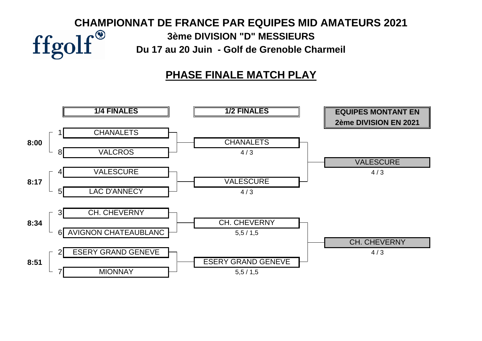# **CHAMPIONNAT DE FRANCE PAR EQUIPES MID AMATEURS 2021**<br> **CHAMPIONNAT DE FRANCE PAR EQUIPES MID AMATEURS 2021**<br>
3ème DIVISION "D" MESSIEURS<br>
Du 17 au 20 Juin - Golf de Grenoble Charmeil **3ème DIVISION "D" MESSIEURS Du 17 au 20 Juin - Golf de Grenoble Charmeil**

# **PHASE FINALE MATCH PLAY**

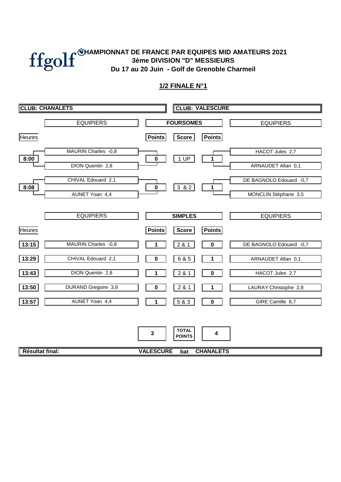#### **Du 17 au 20 Juin - Golf de Grenoble Charmeil CHAMPIONNAT DE FRANCE PAR EQUIPES MID AMATEURS 2021 3ème DIVISION "D" MESSIEURS**

| <b>CLUB: CHANALETS</b> |                                        | <b>CLUB: VALESCURE</b>                                                               |
|------------------------|----------------------------------------|--------------------------------------------------------------------------------------|
|                        | <b>EQUIPIERS</b>                       | <b>FOURSOMES</b><br><b>EQUIPIERS</b>                                                 |
| <b>Heures</b>          |                                        | <b>Points</b><br><b>Points</b><br><b>Score</b>                                       |
| 8:00                   | MAURIN Charles -0,8                    | HACOT Jules 2,7<br>1 UP<br>$\pmb{0}$<br>1                                            |
|                        | DION Quentin 2,8<br>CHIVAL Edouard 2,1 | ARNAUDET Allan 0,1                                                                   |
| 8:08                   | AUNET Yoan 4,4                         | DE BAGNOLO Edouard -0,7<br>$382$<br>$\pmb{0}$<br>1<br>MONCLIN Stéphane 3,5           |
|                        | <b>EQUIPIERS</b>                       |                                                                                      |
| Heures                 |                                        | <b>SIMPLES</b><br><b>EQUIPIERS</b><br><b>Points</b><br><b>Points</b><br><b>Score</b> |
| 13:15                  | MAURIN Charles -0,8                    | 2 & 1<br>$\mathbf 0$<br>DE BAGNOLO Edouard -0,7                                      |
| 13:29                  | CHIVAL Edouard 2,1                     | 6 & 5<br>$\mathbf 0$<br>1<br>ARNAUDET Allan 0,1                                      |
| 13:43                  | DION Quentin 2,8                       | HACOT Jules 2,7<br>2 & 1<br>$\mathbf 0$                                              |
| 13:50                  | DURAND Gregoire 3,9<br>AUNET Yoan 4,4  | 2 & 1<br>LAURAY Christophe 2,8<br>0<br>1<br>5 & 3<br>GIRE Camille 8,7<br>$\pmb{0}$   |
| 13:57                  |                                        |                                                                                      |
|                        |                                        | <b>TOTAL</b><br>3<br>4<br><b>POINTS</b>                                              |
| Résultat final:        |                                        | <b>VALESCURE</b><br><b>CHANALETS</b><br>bat                                          |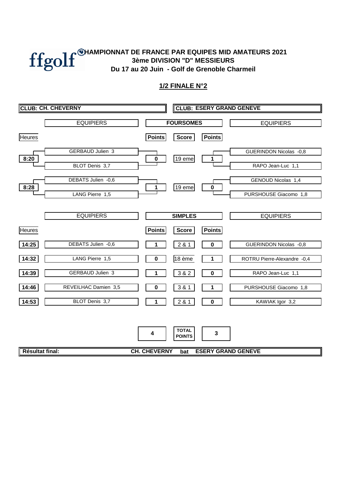#### **3ème DIVISION "D" MESSIEURS Du 17 au 20 Juin - Golf de Grenoble Charmeil CHAMPIONNAT DE FRANCE PAR EQUIPES MID AMATEURS 2021**

|                 | <b>CLUB: CH. CHEVERNY</b>                 |                     |                               |               | <b>CLUB: ESERY GRAND GENEVE</b>         |
|-----------------|-------------------------------------------|---------------------|-------------------------------|---------------|-----------------------------------------|
|                 | <b>EQUIPIERS</b>                          |                     | <b>FOURSOMES</b>              |               | <b>EQUIPIERS</b>                        |
| <b>Heures</b>   |                                           | <b>Points</b>       | Score                         | <b>Points</b> |                                         |
| 8:20            | <b>GERBAUD Julien 3</b><br>BLOT Denis 3,7 | $\pmb{0}$           | $19$ eme                      | 1             | GUERINDON Nicolas -0,8                  |
| 8:28            | DEBATS Julien -0,6                        | 1                   | 19 eme                        | $\mathbf 0$   | RAPO Jean-Luc 1,1<br>GENOUD Nicolas 1,4 |
|                 | LANG Pierre 1,5                           |                     |                               |               | PURSHOUSE Giacomo 1,8                   |
|                 | <b>EQUIPIERS</b>                          |                     | <b>SIMPLES</b>                |               | <b>EQUIPIERS</b>                        |
| <b>Heures</b>   |                                           | <b>Points</b>       | Score                         | <b>Points</b> |                                         |
| 14:25           | DEBATS Julien -0,6                        |                     | 2 & 1                         | $\mathbf 0$   | GUERINDON Nicolas -0,8                  |
| 14:32           | LANG Pierre 1,5                           | $\mathbf 0$         | 18 ème                        | 1             | ROTRU Pierre-Alexandre -0,4             |
| 14:39           | GERBAUD Julien 3                          |                     | 3 & 2                         | $\mathbf 0$   | RAPO Jean-Luc 1,1                       |
| 14:46           | REVEILHAC Damien 3,5                      | 0                   | 3 & 1                         | 1             | PURSHOUSE Giacomo 1,8                   |
| 14:53           | BLOT Denis 3,7                            |                     | 2 & 1                         | $\pmb{0}$     | KAWIAK Igor 3,2                         |
|                 |                                           | 4                   | <b>TOTAL</b><br><b>POINTS</b> | 3             |                                         |
| Résultat final: |                                           | <b>CH. CHEVERNY</b> | bat                           |               | <b>ESERY GRAND GENEVE</b>               |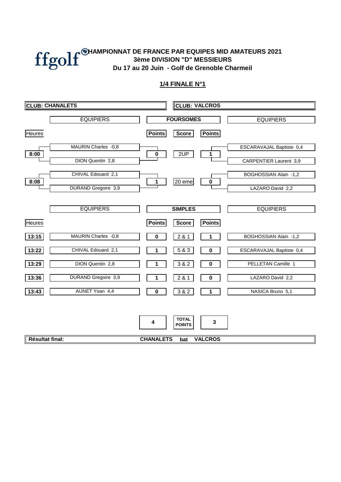

#### **3ème DIVISION "D" MESSIEURS Du 17 au 20 Juin - Golf de Grenoble Charmeil CHAMPIONNAT DE FRANCE PAR EQUIPES MID AMATEURS 2021**

|                 | <b>CLUB: CHANALETS</b>                 |                       | <b>CLUB: VALCROS</b>                 |                               |                                                        |  |  |  |  |
|-----------------|----------------------------------------|-----------------------|--------------------------------------|-------------------------------|--------------------------------------------------------|--|--|--|--|
|                 | <b>EQUIPIERS</b>                       |                       | <b>FOURSOMES</b>                     |                               | <b>EQUIPIERS</b>                                       |  |  |  |  |
| <b>Heures</b>   |                                        | <b>Points</b>         | <b>Score</b>                         | <b>Points</b>                 |                                                        |  |  |  |  |
| 8:00            | MAURIN Charles -0,8                    | $\pmb{0}$             | 2UP                                  | 1                             | ESCARAVAJAL Baptiste 0,4                               |  |  |  |  |
| 8:08            | DION Quentin 2,8<br>CHIVAL Edouard 2,1 | 1                     | $20$ eme                             | $\pmb{0}$                     | <b>CARPENTIER Laurent 3,9</b><br>BOGHOSSIAN Alain -1,2 |  |  |  |  |
|                 | DURAND Gregoire 3,9                    |                       |                                      |                               | LAZARO David 2,2                                       |  |  |  |  |
|                 | <b>EQUIPIERS</b>                       |                       | <b>SIMPLES</b>                       |                               | <b>EQUIPIERS</b>                                       |  |  |  |  |
| <b>Heures</b>   |                                        | <b>Points</b>         | <b>Score</b>                         | <b>Points</b>                 |                                                        |  |  |  |  |
| 13:15           | MAURIN Charles -0,8                    | 0                     | 281                                  | 1                             | BOGHOSSIAN Alain -1,2                                  |  |  |  |  |
| 13:22           | CHIVAL Edouard 2,1                     |                       | 5 & 3                                | 0                             | ESCARAVAJAL Baptiste 0,4                               |  |  |  |  |
| 13:29           | DION Quentin 2,8                       |                       | 3 & 2                                | 0                             | PELLETAN Camille 1                                     |  |  |  |  |
| 13:36           | <b>DURAND Gregoire 3,9</b>             | 1                     | 2 & 1                                | $\pmb{0}$                     | LAZARO David 2,2                                       |  |  |  |  |
| 13:43           | AUNET Yoan 4,4                         | 0                     | 3 & 2                                | 1                             | NASICA Bruno 5,1                                       |  |  |  |  |
| Résultat final: |                                        | 4<br><b>CHANALETS</b> | <b>TOTAL</b><br><b>POINTS</b><br>bat | $\mathbf 3$<br><b>VALCROS</b> |                                                        |  |  |  |  |
|                 |                                        |                       |                                      |                               |                                                        |  |  |  |  |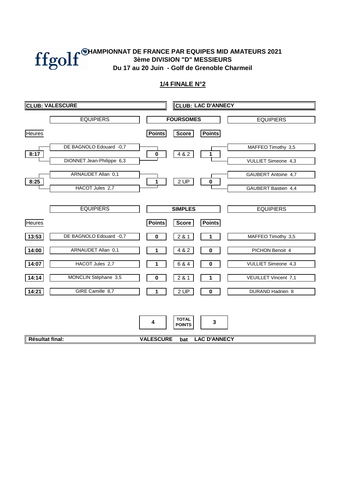

|                 | <b>CLUB: VALESCURE</b>                               |                       | <b>CLUB: LAC D'ANNECY</b>            |                                    |                                            |  |  |  |  |
|-----------------|------------------------------------------------------|-----------------------|--------------------------------------|------------------------------------|--------------------------------------------|--|--|--|--|
|                 | <b>EQUIPIERS</b>                                     |                       | <b>FOURSOMES</b>                     |                                    | <b>EQUIPIERS</b>                           |  |  |  |  |
| <b>Heures</b>   |                                                      | <b>Points</b>         | <b>Score</b>                         | <b>Points</b>                      |                                            |  |  |  |  |
| 8:17            | DE BAGNOLO Edouard -0,7<br>DIONNET Jean-Philippe 6,3 | 0                     | 4 & 2                                | 1                                  | MAFFEO Timothy 3,5<br>VULLIET Simeone 4,3  |  |  |  |  |
| 8:25            | ARNAUDET Allan 0,1<br>HACOT Jules 2,7                | 1                     | 2 UP                                 | $\pmb{0}$                          | GAUBERT Antoine 4,7<br>GAUBERT Bastien 4,4 |  |  |  |  |
|                 | <b>EQUIPIERS</b>                                     |                       | <b>SIMPLES</b>                       |                                    | <b>EQUIPIERS</b>                           |  |  |  |  |
| <b>Heures</b>   |                                                      | <b>Points</b>         | <b>Score</b>                         | <b>Points</b>                      |                                            |  |  |  |  |
| 13:53           | DE BAGNOLO Edouard -0,7                              | 0                     | 281                                  | 1                                  | MAFFEO Timothy 3,5                         |  |  |  |  |
| 14:00           | ARNAUDET Allan 0,1                                   |                       | 4 & 2                                | 0                                  | PICHON Benoit 4                            |  |  |  |  |
| 14:07           | HACOT Jules 2,7                                      |                       | 6 & 4                                | 0                                  | VULLIET Simeone 4,3                        |  |  |  |  |
| 14:14           | MONCLIN Stéphane 3,5                                 | 0                     | 2 & 1                                | 1                                  | VEUILLET Vincent 7,1                       |  |  |  |  |
| 14:21           | GIRE Camille 8,7                                     |                       | 2 UP                                 | $\pmb{0}$                          | DURAND Hadrien 8                           |  |  |  |  |
| Résultat final: |                                                      | 4<br><b>VALESCURE</b> | <b>TOTAL</b><br><b>POINTS</b><br>bat | $\mathbf 3$<br><b>LAC D'ANNECY</b> |                                            |  |  |  |  |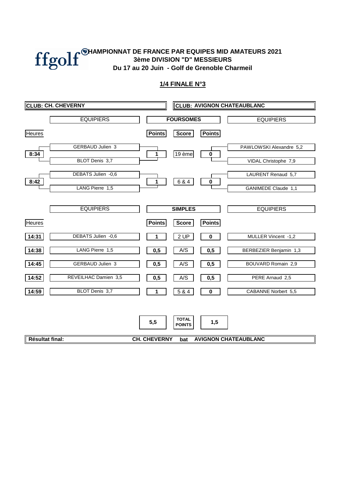

|                 | <b>CLUB: CH. CHEVERNY</b>             |                     | <b>CLUB: AVIGNON CHATEAUBLANC</b> |               |                                           |  |  |  |  |
|-----------------|---------------------------------------|---------------------|-----------------------------------|---------------|-------------------------------------------|--|--|--|--|
|                 | <b>EQUIPIERS</b>                      |                     | <b>FOURSOMES</b>                  |               | <b>EQUIPIERS</b>                          |  |  |  |  |
| <b>Heures</b>   |                                       | <b>Points</b>       | Score                             | <b>Points</b> |                                           |  |  |  |  |
| 8:34            | <b>GERBAUD Julien 3</b>               | 1                   | 19 ème                            | $\pmb{0}$     | PAWLOWSKI Alexandre 5,2                   |  |  |  |  |
|                 | BLOT Denis 3,7                        |                     |                                   |               | VIDAL Christophe 7,9                      |  |  |  |  |
| 8:42            | DEBATS Julien -0,6<br>LANG Pierre 1,5 | 1                   | 6 & 4                             | $\pmb{0}$     | LAURENT Renaud 5,7<br>GANIMEDE Claude 1,1 |  |  |  |  |
|                 | <b>EQUIPIERS</b>                      |                     | <b>SIMPLES</b>                    |               | <b>EQUIPIERS</b>                          |  |  |  |  |
| <b>Heures</b>   |                                       | <b>Points</b>       | <b>Score</b>                      | <b>Points</b> |                                           |  |  |  |  |
| 14:31           | DEBATS Julien -0,6                    |                     | 2 UP                              | $\bf{0}$      | MULLER Vincent -1,2                       |  |  |  |  |
| 14:38           | LANG Pierre 1,5                       | 0,5                 | A/S                               | 0,5           | BERBEZIER Benjamin 1,3                    |  |  |  |  |
| 14:45           | <b>GERBAUD Julien 3</b>               | 0,5                 | A/S                               | 0,5           | BOUVARD Romain 2,9                        |  |  |  |  |
| 14:52           | REVEILHAC Damien 3,5                  | 0,5                 | A/S                               | 0,5           | PERE Arnaud 2,5                           |  |  |  |  |
| 14:59           | BLOT Denis 3,7                        | 1                   | 5 & 4                             | 0             | CABANNE Norbert 5,5                       |  |  |  |  |
|                 |                                       | 5,5                 | <b>TOTAL</b><br><b>POINTS</b>     | 1,5           |                                           |  |  |  |  |
| Résultat final: |                                       | <b>CH. CHEVERNY</b> | bat                               |               | <b>AVIGNON CHATEAUBLANC</b>               |  |  |  |  |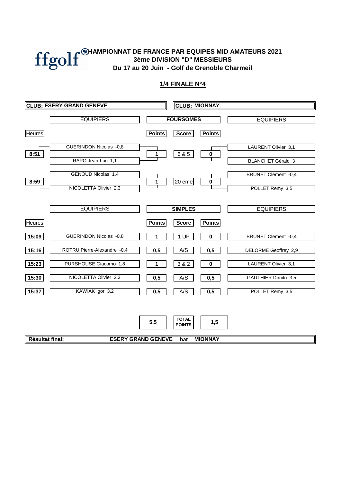

|                 | <b>CLUB: ESERY GRAND GENEVE</b> |               | <b>CLUB: MIONNAY</b>          |                |                            |  |  |  |  |  |
|-----------------|---------------------------------|---------------|-------------------------------|----------------|----------------------------|--|--|--|--|--|
|                 | <b>EQUIPIERS</b>                |               | <b>FOURSOMES</b>              |                | <b>EQUIPIERS</b>           |  |  |  |  |  |
| <b>Heures</b>   |                                 | <b>Points</b> | <b>Score</b>                  | <b>Points</b>  |                            |  |  |  |  |  |
| 8:51            | GUERINDON Nicolas -0,8          | 1             | 6 & 5                         | $\pmb{0}$      | <b>LAURENT Olivier 3,1</b> |  |  |  |  |  |
|                 | RAPO Jean-Luc 1,1               |               |                               |                | <b>BLANCHET Gérald 3</b>   |  |  |  |  |  |
| 8:59            | GENOUD Nicolas 1,4              | 1             | 20 eme                        | $\pmb{0}$      | <b>BRUNET Clement -0,4</b> |  |  |  |  |  |
|                 | NICOLETTA Olivier 2,3           |               |                               |                | POLLET Remy 3,5            |  |  |  |  |  |
|                 |                                 |               |                               |                |                            |  |  |  |  |  |
|                 | <b>EQUIPIERS</b>                |               | <b>SIMPLES</b>                |                | <b>EQUIPIERS</b>           |  |  |  |  |  |
| <b>Heures</b>   |                                 | <b>Points</b> | <b>Score</b>                  | <b>Points</b>  |                            |  |  |  |  |  |
| 15:09           | GUERINDON Nicolas -0,8          | 1             | 1 UP                          | $\bf{0}$       | <b>BRUNET Clement -0,4</b> |  |  |  |  |  |
| 15:16           | ROTRU Pierre-Alexandre -0,4     | 0,5           | A/S                           | 0,5            | DELORME Geoffrey 2,9       |  |  |  |  |  |
| 15:23           | PURSHOUSE Giacomo 1,8           | 1             | 3 & 2                         | $\mathbf 0$    | LAURENT Olivier 3,1        |  |  |  |  |  |
| 15:30           | NICOLETTA Olivier 2,3           | 0,5           | A/S                           | 0,5            | GAUTHIER Dimitri 3,5       |  |  |  |  |  |
| 15:37           | KAWIAK Igor 3,2                 | 0,5           | A/S                           | 0,5            | POLLET Remy 3,5            |  |  |  |  |  |
|                 |                                 |               |                               |                |                            |  |  |  |  |  |
|                 |                                 | 5,5           | <b>TOTAL</b><br><b>POINTS</b> | 1,5            |                            |  |  |  |  |  |
|                 |                                 |               |                               |                |                            |  |  |  |  |  |
| Résultat final: | <b>ESERY GRAND GENEVE</b>       |               | bat                           | <b>MIONNAY</b> |                            |  |  |  |  |  |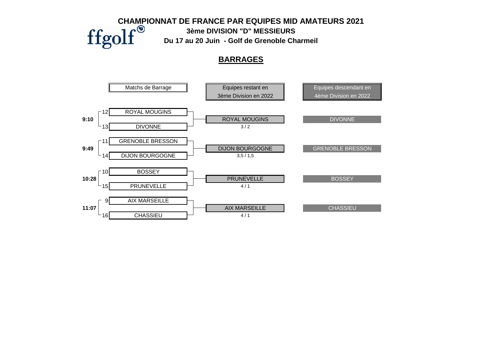Matchs de Barrage **Equipes restant en Equipes descendant en Equipes descendant en** 3ème Division en 2022 **4** 4ème Division en 2022 ROYAL MOUGINS **9:10 ROYAL MOUGINS** DIVONNE DIVONNE  $\overrightarrow{3/2}$ **GRENOBLE BRESSON 9:49** BRESSON DIJON BOURGOGNE  $\Box$  3,5 / 1,5 **BOSSEY** 10:28 BOSSEY PRUNEVELLE  $4/1$ **AIX MARSEILLE 11:07** AIX MARSEILLE **CHASSIEU CHAMPIONNAT DE FRANCE PAR EQUIPES MID AMATEURS 2021**<br> **ffgolf**Du 17 au 20 Juin - Golf de Grenoble Charmeil **3ème DIVISION "D" MESSIEURS Du 17 au 20 Juin - Golf de Grenoble Charmeil BARRAGES**

 $CHASSIEU$   $4/1$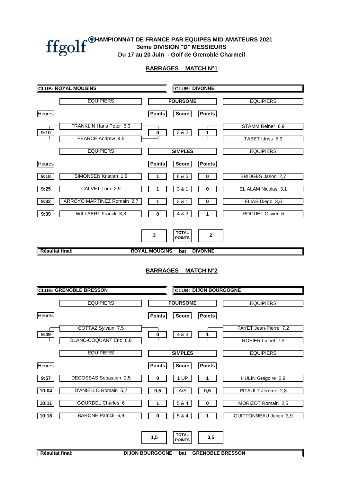

#### **BARRAGES MATCH N°1**

|                        | <b>CLUB: ROYAL MOUGINS</b>    |                               | <b>CLUB: DIVONNE</b>                 |                                |                        |
|------------------------|-------------------------------|-------------------------------|--------------------------------------|--------------------------------|------------------------|
|                        | <b>EQUIPIERS</b>              |                               | <b>FOURSOME</b>                      |                                | <b>EQUIPIERS</b>       |
| Heures                 |                               | <b>Points</b>                 | <b>Score</b>                         | <b>Points</b>                  |                        |
|                        | FRANKLIN Hans Peter 5,3       |                               |                                      |                                | STAMM Reiner 8,9       |
| 9:10                   | PEARCE Andrew 4,5             | $\bf{0}$                      | 3 & 2                                | 1                              | TABET Idriss 5,9       |
|                        | <b>EQUIPIERS</b>              |                               | <b>SIMPLES</b>                       |                                | <b>EQUIPIERS</b>       |
| <b>Heures</b>          |                               | <b>Points</b>                 | <b>Score</b>                         | <b>Points</b>                  |                        |
| 9:18                   | SIMONSEN Kristian 1,9         | 1                             | 6 & 5                                | $\bf{0}$                       | BRIDGES Jason 2,7      |
| 9:25                   | CALVET Tom 2,9                | 1                             | 3 & 1                                | 0                              | EL ALAM Nicolas 3,1    |
| 9:32                   | ARROYO MARTINEZ Romain 2,7    | 1                             | 3 & 1                                | 0                              | ELIAS Diego 3,6        |
| 9:39                   | <b>WILLAERT Franck 3,3</b>    | 0                             | 4 & 3                                | 1                              | ROGUET Olivier 6       |
| <b>Résultat final:</b> |                               | 3<br><b>ROYAL MOUGINS</b>     | <b>TOTAL</b><br><b>POINTS</b><br>bat | $\mathbf{2}$<br><b>DIVONNE</b> |                        |
|                        | <b>CLUB: GRENOBLE BRESSON</b> | <b>BARRAGES MATCH N°2</b>     |                                      | <b>CLUB: DIJON BOURGOGNE</b>   |                        |
|                        | <b>EQUIPIERS</b>              |                               | <b>FOURSOME</b>                      |                                | <b>EQUIPIERS</b>       |
| Heures                 |                               | <b>Points</b>                 | <b>Score</b>                         | <b>Points</b>                  |                        |
|                        | COTTAZ Sylvain 7,5            |                               |                                      |                                | FAYET Jean-Pierre 7,2  |
| 9:49                   | BLANC-COQUANT Eric 6,8        | $\bf{0}$                      | 4 & 3                                | 1                              | ROSIER Lionel 7,3      |
|                        | <b>EQUIPIERS</b>              |                               | <b>SIMPLES</b>                       |                                | <b>EQUIPIERS</b>       |
| Heures                 |                               | <b>Points</b>                 | <b>Score</b>                         | <b>Points</b>                  |                        |
| 9:57                   | DECOSSAS Sebastien 2,5        | 0                             | 1 UP                                 | 1                              | HULIN Grégoire 0,9     |
| 10:04                  | D'ANIELLO Romain 5,2          | 0,5                           | A/S                                  | 0,5                            | PITAULT Jérôme 2,8     |
| 10:11                  | GOURDEL Charles 6             | 1                             | 5 & 4                                | 0                              | MORIZOT Romain 2,5     |
| 10:18                  | <b>BARONE Patrick 6,9</b>     | 0                             | 5 & 4                                | 1                              | GUITTONNEAU Julien 3,9 |
| Résultat final:        |                               | 1,5<br><b>DIJON BOURGOGNE</b> | <b>TOTAL</b><br><b>POINTS</b><br>bat | 3,5<br><b>GRENOBLE BRESSON</b> |                        |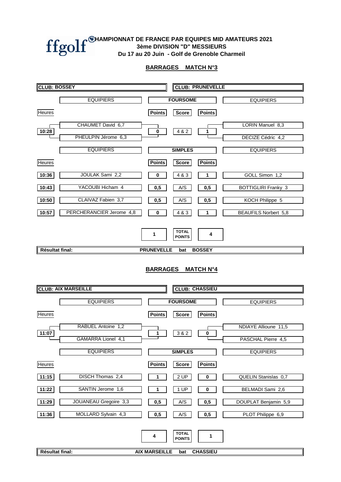#### **BARRAGES MATCH N°3**

| <b>CLUB: BOSSEY</b> |                            |                           |                                                         | <b>CLUB: PRUNEVELLE</b> |                             |  |  |  |
|---------------------|----------------------------|---------------------------|---------------------------------------------------------|-------------------------|-----------------------------|--|--|--|
|                     | <b>EQUIPIERS</b>           |                           | <b>FOURSOME</b>                                         |                         | <b>EQUIPIERS</b>            |  |  |  |
| <b>Heures</b>       |                            | <b>Points</b>             | <b>Points</b><br><b>Score</b>                           |                         |                             |  |  |  |
|                     | CHAUMET David 6,7          |                           |                                                         |                         | LORIN Manuel 8,3            |  |  |  |
| 10:28               | PHEULPIN Jérome 6,3        | $\pmb{0}$                 | 4 & 2<br>1                                              |                         | DECIZE Cédric 4,2           |  |  |  |
|                     | <b>EQUIPIERS</b>           |                           | <b>SIMPLES</b>                                          |                         | <b>EQUIPIERS</b>            |  |  |  |
| Heures              |                            | <b>Points</b>             | <b>Points</b><br>Score                                  |                         |                             |  |  |  |
| 10:36               | JOULAK Sami 2,2            | 0                         | 4 & 3<br>1                                              |                         | GOLL Simon 1,2              |  |  |  |
| 10:43               | YACOUBI Hicham 4           | 0,5                       | A/S<br>0,5                                              |                         | <b>BOTTIGLIRI Franky 3</b>  |  |  |  |
| 10:50               | CLAIVAZ Fabien 3,7         | 0,5                       | A/S<br>0,5                                              |                         | KOCH Philippe 5             |  |  |  |
| 10:57               | PERCHERANCIER Jerome 4,8   | 0                         | 4 & 3<br>1                                              |                         | <b>BEAUFILS Norbert 5,8</b> |  |  |  |
|                     |                            | 1                         | <b>TOTAL</b><br><b>POINTS</b>                           | 4                       |                             |  |  |  |
| Résultat final:     |                            | <b>PRUNEVELLE</b>         | <b>BOSSEY</b><br>bat                                    |                         |                             |  |  |  |
|                     | <b>CLUB: AIX MARSEILLE</b> |                           | <b>BARRAGES MATCH N°4</b><br><b>CLUB: CHASSIEU</b>      |                         |                             |  |  |  |
|                     | <b>EQUIPIERS</b>           |                           | <b>FOURSOME</b>                                         |                         | <b>EQUIPIERS</b>            |  |  |  |
| <b>Heures</b>       |                            | <b>Points</b>             | <b>Points</b><br><b>Score</b>                           |                         |                             |  |  |  |
| 11:07               | RABUEL Antoine 1,2         | 1                         | 3&2<br>$\bf{0}$                                         |                         | NDIAYE Allioune 11,5        |  |  |  |
|                     | GAMARRA Lionel 4,1         |                           |                                                         |                         | PASCHAL Pierre 4,5          |  |  |  |
|                     | <b>EQUIPIERS</b>           |                           | <b>SIMPLES</b>                                          |                         | <b>EQUIPIERS</b>            |  |  |  |
| Heures              |                            | <b>Points</b>             | <b>Points</b><br><b>Score</b>                           |                         |                             |  |  |  |
| 11:15               | DISCH Thomas 2,4           | 1                         | 2 UP<br>$\pmb{0}$                                       |                         | QUELIN Stanislas 0,7        |  |  |  |
| 11:22               | SANTIN Jerome 1,6          | 1                         | 1 UP<br>$\pmb{0}$                                       |                         | BELMADI Sami 2,6            |  |  |  |
| 11:29               | JOUANEAU Gregoire 3,3      | 0,5                       | A/S<br>0,5                                              |                         | DOUPLAT Benjamin 5,9        |  |  |  |
| 11:36               | MOLLARD Sylvain 4,3        | 0,5                       | A/S<br>0,5                                              |                         | PLOT Philippe 6,9           |  |  |  |
| Résultat final:     |                            | 4<br><b>AIX MARSEILLE</b> | <b>TOTAL</b><br><b>POINTS</b><br><b>CHASSIEU</b><br>bat | 1                       |                             |  |  |  |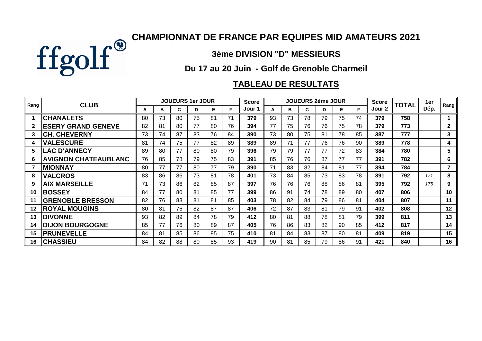

## **3ème DIVISION "D" MESSIEURS**

## **Du 17 au 20 Juin - Golf de Grenoble Charmeil**

# **TABLEAU DE RESULTATS**

| Rang         | <b>CLUB</b>                 |    |    |    | <b>JOUEURS 1er JOUR</b> |    |    | <b>Score</b> |    |     | <b>JOUEURS 2ème JOUR</b> |    |    |    | <b>Score</b> | <b>TOTAL</b> | 1er  | Rang         |
|--------------|-----------------------------|----|----|----|-------------------------|----|----|--------------|----|-----|--------------------------|----|----|----|--------------|--------------|------|--------------|
|              |                             | A  | в  | C  | D                       | Е  | F  | Jour 1       | A  | в   | C.                       | D  | Е  | F  | Jour 2       |              | Dép. |              |
|              | <b>CHANALETS</b>            | 80 | 73 | 80 | 75                      | 81 | 71 | 379          | 93 | 73  | 78                       | 79 | 75 | 74 | 379          | 758          |      |              |
| $\mathbf{2}$ | <b>ESERY GRAND GENEVE</b>   | 82 | 81 | 80 | 77                      | 80 | 76 | 394          | 77 | 75  | 76                       | 76 | 75 | 78 | 379          | 773          |      | $\mathbf{2}$ |
| 3            | <b>CH. CHEVERNY</b>         | 73 | 74 | 87 | 83                      | 76 | 84 | 390          | 73 | 80  | 75                       | 81 | 78 | 85 | 387          | 777          |      | 3            |
| 4            | <b>VALESCURE</b>            | 81 | 74 | 75 | 77                      | 82 | 89 | 389          | 89 | 71  | 77                       | 76 | 76 | 90 | 389          | 778          |      | 4            |
| 5            | <b>LAC D'ANNECY</b>         | 89 | 80 | 77 | 80                      | 80 | 79 | 396          | 79 | 79  | 77                       | 77 | 72 | 83 | 384          | 780          |      | 5            |
| 6            | <b>AVIGNON CHATEAUBLANC</b> | 76 | 85 | 78 | 79                      | 75 | 83 | 391          | 85 | 76  | 76                       | 87 | 77 | 77 | 391          | 782          |      | 6            |
|              | <b>MIONNAY</b>              | 80 | 77 | 77 | 80                      | 77 | 79 | 390          | 71 | 83  | 82                       | 84 | 81 | 77 | 394          | 784          |      | 7            |
| 8            | <b>VALCROS</b>              | 83 | 86 | 86 | 73                      | 81 | 78 | 401          | 73 | 84  | 85                       | 73 | 83 | 78 | 391          | 792          | 171  | 8            |
| 9            | <b>AIX MARSEILLE</b>        | 71 | 73 | 86 | 82                      | 85 | 87 | 397          | 76 | 76  | 76                       | 88 | 86 | 81 | 395          | 792          | 175  | 9            |
| 10           | <b>BOSSEY</b>               | 84 | 77 | 80 | 81                      | 85 | 77 | 399          | 86 | 91  | 74                       | 78 | 89 | 80 | 407          | 806          |      | 10           |
| 11           | <b>GRENOBLE BRESSON</b>     | 82 | 76 | 83 | 81                      | 81 | 85 | 403          | 78 | 82  | 84                       | 79 | 86 | 81 | 404          | 807          |      | 11           |
| 12           | <b>ROYAL MOUGINS</b>        | 80 | 81 | 76 | 82                      | 87 | 87 | 406          | 72 | 87  | 83                       | 81 | 79 | 91 | 402          | 808          |      | 12           |
| 13           | <b>DIVONNE</b>              | 93 | 82 | 89 | 84                      | 78 | 79 | 412          | 80 | 81  | 88                       | 78 | 81 | 79 | 399          | 811          |      | 13           |
| 14           | <b>DIJON BOURGOGNE</b>      | 85 | 77 | 76 | 80                      | 89 | 87 | 405          | 76 | 86  | 83                       | 82 | 90 | 85 | 412          | 817          |      | 14           |
| 15           | <b>PRUNEVELLE</b>           | 84 | 81 | 85 | 86                      | 85 | 75 | 410          | 81 | 84  | 83                       | 87 | 80 | 81 | 409          | 819          |      | 15           |
| 16           | <b>CHASSIEU</b>             | 84 | 82 | 88 | 80                      | 85 | 93 | 419          | 90 | -81 | 85                       | 79 | 86 | 91 | 421          | 840          |      | 16           |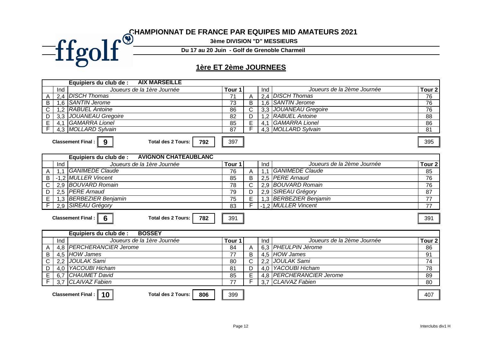### **CHAMPIONNAT DE FRANCE PAR EQUIPES MID AMATEURS 2021**

**3ème DIVISION "D" MESSIEURS**

**Du 17 au 20 Juin - Golf de Grenoble Charmeil**

### **1ère ET 2ème JOURNEES**

|              |     | <b>AIX MARSEILLE</b><br>Equipiers du club de :             |                   |   |     |                            |                   |  |  |  |
|--------------|-----|------------------------------------------------------------|-------------------|---|-----|----------------------------|-------------------|--|--|--|
|              | Ind | Joueurs de la 1ère Journée                                 | Tour <sub>1</sub> |   | Ind | Joueurs de la 2ème Journée | Tour <sub>2</sub> |  |  |  |
| $\mathsf{A}$ |     | 2,4 DISCH Thomas                                           | 74                | A | 2.4 | <b>DISCH Thomas</b>        | 76                |  |  |  |
| B            |     | 1.6   SANTIN Jerome                                        | 73                | B |     | 1,6   SANTIN Jerome        | 76                |  |  |  |
| $\mathsf{C}$ |     | 1,2 RABUEL Antoine                                         | 86                |   |     | 3,3 JOUANEAU Gregoire      | 76                |  |  |  |
| D            |     | 3,3 JOUANEAU Gregoire                                      | 82                | D |     | 1,2   RABUEL Antoine       | 88                |  |  |  |
| E            | 4.1 | <b>GAMARRA Lionel</b>                                      | 85                |   | 4.1 | <b>GAMARRA Lionel</b>      | 86                |  |  |  |
|              |     | 4.3 MOLLARD Sylvain                                        | 87                |   |     | 4.3 MOLLARD Sylvain        | -81               |  |  |  |
|              |     |                                                            |                   |   |     |                            |                   |  |  |  |
|              |     | 792<br>Total des 2 Tours: I<br><b>Classement Final: II</b> | 397               |   |     |                            | 395               |  |  |  |

|   |     | <b>AVIGNON CHATEAUBLANC</b><br>Equipiers du club de :        |                   |   |     |                            |                   |  |  |  |
|---|-----|--------------------------------------------------------------|-------------------|---|-----|----------------------------|-------------------|--|--|--|
|   | Ind | Joueurs de la 1ère Journée                                   | Tour <sub>1</sub> |   | Ind | Joueurs de la 2ème Journée | Tour <sub>2</sub> |  |  |  |
| A |     | <b>GANIMEDE Claude</b>                                       | 76                | A |     | <b>GANIMEDE Claude</b>     | 85                |  |  |  |
| B |     | -1,2 MULLER Vincent                                          | 85                | B |     | 2,5 PERE Arnaud            | 76                |  |  |  |
| С |     | 2,9 BOUVARD Romain                                           | 78                |   |     | 2.9 BOUVARD Romain         | 76                |  |  |  |
| D |     | 2,5 PERE Arnaud                                              | 79                | D |     | 2.9 SIREAU Grégory         | 87                |  |  |  |
|   |     | 1,3 BERBEZIER Benjamin                                       | 75                | E |     | 1,3 BERBEZIER Benjamin     |                   |  |  |  |
|   |     | 2.9 SIREAU Grégory                                           | 83                |   |     | -1.2 MULLER Vincent        | 77                |  |  |  |
|   |     |                                                              |                   |   |     |                            |                   |  |  |  |
|   |     | 782<br><b>Classement Final:</b><br><b>Total des 2 Tours:</b> | 391               |   |     |                            | 391               |  |  |  |

|    |       | <b>BOSSEY</b><br>Equipiers du club de :                        |                   |   |     |                            |                   |
|----|-------|----------------------------------------------------------------|-------------------|---|-----|----------------------------|-------------------|
|    | Ind   | Joueurs de la 1ère Journée                                     | Tour <sup>.</sup> |   | Ind | Joueurs de la 2ème Journée | Tour <sub>2</sub> |
|    |       | 4,8   PERCHERANCIER Jerome                                     | 84                |   |     | 6,3 PHEULPIN Jérome        | 86                |
| B  |       | 4,5 HOW James                                                  | 77                | в |     | 4.5 HOW James              | 91                |
| C. |       | 2,2 JOULAK Sami                                                | 80                |   |     | 2,2 JOULAK Sami            | 74                |
| D  | 4.0 l | YACOUBI Hicham                                                 | 81                | D |     | 4,0   YACOUBI Hicham       | 78                |
|    | 6.7   | CHAUMET David                                                  | 85                | E |     | 4.8 PERCHERANCIER Jerome   | 89                |
|    |       | 3.7 CLAIVAZ Fabien                                             | 77                |   |     | 3.7 CLAIVAZ Fabien         | 80                |
|    |       |                                                                |                   |   |     |                            |                   |
|    |       | Classement Final : $\parallel$ 10<br>806<br>Total des 2 Tours: | 399               |   |     |                            | 407               |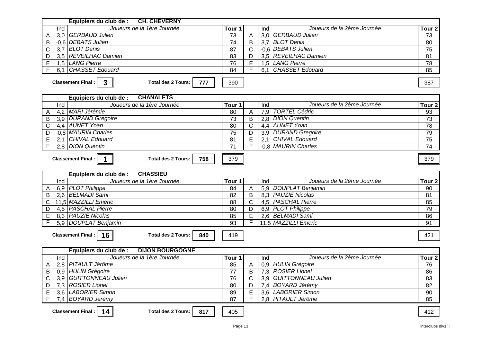| <b>CH. CHEVERNY</b><br>Equipiers du club de :                                       |                   |                |     |                            |                   |  |  |  |
|-------------------------------------------------------------------------------------|-------------------|----------------|-----|----------------------------|-------------------|--|--|--|
| Joueurs de la 1ère Journée<br>Ind                                                   | Tour 1            |                | Ind | Joueurs de la 2ème Journée | Tour <sub>2</sub> |  |  |  |
| 3,0 GERBAUD Julien                                                                  | 73                | A              |     | 3,0 GERBAUD Julien         | 73                |  |  |  |
| -0.6 DEBATS Julien<br>B                                                             | $\overline{74}$   | B              |     | 3.7 BLOT Denis             | 80                |  |  |  |
| 3,7 BLOT Denis<br>$\mathsf{C}$                                                      | 87                | $\mathsf{C}$   |     | -0.6 DEBATS Julien         | 75                |  |  |  |
| 3,5 REVEILHAC Damien<br>D                                                           | 83                | D              |     | 3,5 REVEILHAC Damien       | 81                |  |  |  |
| 1,5 LANG Pierre<br>E                                                                | 76                | E              |     | 1,5 LANG Pierre            | 78                |  |  |  |
| CHASSET Edouard<br>F<br>6.1                                                         | 84                |                | 6.1 | <b>CHASSET Edouard</b>     | 85                |  |  |  |
| $\mathbf{3}$<br><b>Classement Final:</b><br><b>Total des 2 Tours:</b><br>777<br>390 |                   |                |     |                            |                   |  |  |  |
| <b>CHANALETS</b><br>Equipiers du club de :                                          |                   |                |     |                            |                   |  |  |  |
| Joueurs de la 1ère Journée<br>Ind                                                   | Tour 1            |                | Ind | Joueurs de la 2ème Journée | Tour <sub>2</sub> |  |  |  |
| 4,2 MARI Jérémie<br>A                                                               | 80                | A              |     | 7,9 TORTEL Cédric          | 93                |  |  |  |
| 3.9 DURAND Gregoire<br>B                                                            | 73                | B              |     | 2,8 DION Quentin           | 73                |  |  |  |
| 4,4 AUNET Yoan<br>C                                                                 | $\overline{80}$   | $\mathsf{C}$   |     | 4,4 AUNET Yoan             | 78                |  |  |  |
| -0.8 MAURIN Charles<br>D                                                            | 75                | D              |     | 3,9 DURAND Gregoire        | 79                |  |  |  |
| 2,1 CHIVAL Edouard<br>E                                                             | $\overline{81}$   | E              |     | 2,1 CHIVAL Edouard         | 75                |  |  |  |
| 2,8 DION Quentin<br>F                                                               | $\overline{71}$   |                |     | -0.8 MAURIN Charles        | $\overline{74}$   |  |  |  |
| $\overline{\mathbf{1}}$<br><b>Classement Final:</b><br><b>Total des 2 Tours:</b>    | 758<br>379        |                |     |                            | 379               |  |  |  |
| <b>CHASSIEU</b><br>Equipiers du club de :                                           |                   |                |     |                            |                   |  |  |  |
| Ind<br>Joueurs de la 1ère Journée                                                   | Tour <sub>1</sub> |                | Ind | Joueurs de la 2ème Journée | Tour <sub>2</sub> |  |  |  |
| 6,9 PLOT Philippe                                                                   | $\overline{84}$   | $\overline{A}$ |     | 5.9 DOUPLAT Benjamin       | 90                |  |  |  |
| 2,6 BELMADI Sami<br>B                                                               | 82                | B              |     | 8.3 PAUZIE Nicolas         | 81                |  |  |  |
| 11,5 MAZZILLI Emeric<br>C                                                           | 88                | $\mathsf{C}$   |     | 4,5 PASCHAL Pierre         | 85                |  |  |  |
| 4,5 PASCHAL Pierre<br>D                                                             | $\overline{80}$   | $\overline{D}$ |     | 6,9 PLOT Philippe          | 79                |  |  |  |
| 8,3 PAUZIE Nicolas<br>$\mathsf E$                                                   | 85                | $\overline{E}$ |     | 2,6 BELMADI Sami           | 86                |  |  |  |
| 5.9 DOUPLAT Benjamin<br>F                                                           | 93                |                |     | 11,5 MAZZILLI Emeric       | 91                |  |  |  |
| Classement Final : $\vert$ 16<br><b>Total des 2 Tours:</b>                          |                   | 421            |     |                            |                   |  |  |  |
| <b>DIJON BOURGOGNE</b><br>Equipiers du club de :                                    |                   |                |     |                            |                   |  |  |  |
| Joueurs de la 1ère Journée<br>Ind                                                   | Tour 1            |                | Ind | Joueurs de la 2ème Journée | Tour <sub>2</sub> |  |  |  |
| 2,8 PITAULT Jérôme<br>A                                                             | 85                | A              |     | 0,9 HULIN Grégoire         | 76                |  |  |  |
| 0.9 HULIN Grégoire<br>B                                                             | 77                | B              |     | 7,3 ROSIER Lionel          | 86                |  |  |  |
| 3,9 GUITTONNEAU Julien<br>C                                                         | $\overline{76}$   | $\mathsf{C}$   |     | 3,9 GUITTONNEAU Julien     | 83                |  |  |  |
| 7,3 ROSIER Lionel<br>D                                                              | $\overline{80}$   | D              |     | 7,4 BOYARD Jérémy          | $\overline{82}$   |  |  |  |

**Classement Final : 14** 

*BOYARD Jérémy*

*LABORIER Simon*

E | 3,6 |LABORIER Simon | 89 | E | 3,6 |LABORIER Simon | 90 F 7,4 87 F 2,8 85 *PITAULT Jérôme*

*LABORIER Simon*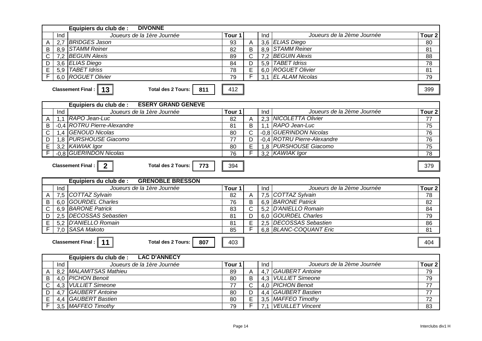| <b>DIVONNE</b><br>Equipiers du club de :                                     |                       |                       |                  |                                                  |                                            |
|------------------------------------------------------------------------------|-----------------------|-----------------------|------------------|--------------------------------------------------|--------------------------------------------|
| Joueurs de la 1ère Journée<br>Ind                                            | Tour 1                |                       | Ind              | Joueurs de la 2ème Journée                       | Tour <sub>2</sub>                          |
| 2,7 BRIDGES Jason<br>A                                                       | 93                    | Α                     |                  | 3,6 ELIAS Diego                                  | 80                                         |
| 8,9 STAMM Reiner<br>B                                                        | 82                    | $\sf B$               |                  | 8,9 STAMM Reiner                                 | $\overline{81}$                            |
| 7,2 BEGUIN Alexis<br>C                                                       | 89                    | $\mathsf{C}$          | 7,2              | <b>BEGUIN Alexis</b>                             | $\overline{88}$                            |
| 3,6 ELIAS Diego<br>D                                                         | 84                    | $\overline{D}$        |                  | 5,9 TABET Idriss                                 | $\overline{78}$                            |
| 5,9 TABET Idriss<br>$\mathsf E$                                              | 78                    | E                     |                  | 6.0 ROGUET Olivier                               | 81                                         |
| 6,0 ROGUET Olivier<br>F                                                      | 79                    | F                     |                  | 3.1 EL ALAM Nicolas                              | 79                                         |
| Classement Final : $\parallel$ 13<br><b>Total des 2 Tours:</b><br>811        | 412                   |                       |                  |                                                  | 399                                        |
| <b>ESERY GRAND GENEVE</b><br>Equipiers du club de :                          |                       |                       |                  |                                                  |                                            |
| Joueurs de la 1ère Journée<br>Ind                                            | Tour 1                |                       | Ind              | Joueurs de la 2ème Journée                       | Tour <sub>2</sub>                          |
| 1,1 RAPO Jean-Luc<br>A                                                       | 82                    | A                     |                  | 2.3 NICOLETTA Olivier                            | 77                                         |
| -0.4 ROTRU Pierre-Alexandre<br>B                                             | $\overline{81}$       | $\overline{B}$        |                  | 1,1 RAPO Jean-Luc                                | 75                                         |
| 1,4 GENOUD Nicolas<br>C                                                      | 80                    | $\mathsf{C}$          |                  | -0.8 GUERINDON Nicolas                           | 76                                         |
| 1,8 PURSHOUSE Giacomo<br>D                                                   | $\overline{77}$       | D                     |                  | -0.4 ROTRU Pierre-Alexandre                      | 76                                         |
| 3,2 KAWIAK Igor<br>E                                                         | $\overline{80}$       | E                     |                  | 1,8 PURSHOUSE Giacomo                            | $\overline{75}$                            |
| -0.8 GUERINDON Nicolas                                                       | $\overline{76}$       | F                     |                  | 3,2 KAWIAK Igor                                  | $\overline{78}$                            |
| <b>Classement Final:</b><br>$\mathbf{2}$<br><b>Total des 2 Tours:</b><br>773 | 394                   |                       |                  |                                                  | 379                                        |
| <b>GRENOBLE BRESSON</b><br>Equipiers du club de :                            |                       |                       |                  |                                                  |                                            |
|                                                                              | Tour 1                |                       |                  | Joueurs de la 2ème Journée                       |                                            |
|                                                                              |                       |                       | Ind              |                                                  |                                            |
| Ind<br>Joueurs de la 1ère Journée                                            |                       |                       |                  |                                                  |                                            |
| 7,5 COTTAZ Sylvain<br>A<br>6.0 GOURDEL Charles                               | 82                    | $\overline{A}$<br>B   |                  | 7,5 COTTAZ Sylvain                               | 78                                         |
| B                                                                            | 76                    |                       |                  | 6,9 BARONE Patrick                               | 82                                         |
| 6,9 BARONE Patrick<br>$\mathsf C$<br>2.5 DECOSSAS Sebastien<br>D             | $\overline{83}$<br>81 | $\mathsf{C}$<br>D     |                  | 5,2 D'ANIELLO Romain<br>6.0 GOURDEL Charles      | $\overline{84}$                            |
|                                                                              |                       |                       |                  |                                                  | 79                                         |
| 5,2 D'ANIELLO Romain<br>E<br>7.0 SASA Makoto                                 | 81<br>85              | E<br>F                |                  | 2,5 DECOSSAS Sebastien<br>6.8 BLANC-COQUANT Eric | Tour <sub>2</sub><br>86<br>$\overline{81}$ |
| Classement Final: $\parallel$<br>11<br><b>Total des 2 Tours:</b><br>807      | 403                   |                       |                  |                                                  | 404                                        |
| <b>LAC D'ANNECY</b><br>Equipiers du club de :                                |                       |                       |                  |                                                  |                                            |
| Joueurs de la 1ère Journée<br>Ind                                            | Tour 1                |                       | Ind              | Joueurs de la 2ème Journée                       | Tour <sub>2</sub>                          |
| 8,2   MALAMITSAS Mathieu<br>A                                                | 89                    | A                     | 4,7              | <b>GAUBERT Antoine</b>                           | 79                                         |
| 4,0 PICHON Benoit<br>B                                                       | 80                    | B                     | 4,3              | <b>VULLIET Simeone</b>                           | 79                                         |
| <b>VULLIET Simeone</b><br>C<br>4,3                                           | $\overline{77}$       | $\overline{\text{C}}$ |                  | 4,0 PICHON Benoit                                | $\overline{77}$                            |
| 4,7 GAUBERT Antoine<br>D                                                     | 80                    | D                     |                  | 4,4 GAUBERT Bastien                              | 77                                         |
| 4.4 GAUBERT Bastien<br>E<br>F<br>3,5 MAFFEO Timothy                          | 80<br>79              | $\overline{E}$<br>F   | $\overline{7,1}$ | 3,5 MAFFEO Timothy<br><b>VEUILLET Vincent</b>    | $\overline{72}$<br>83                      |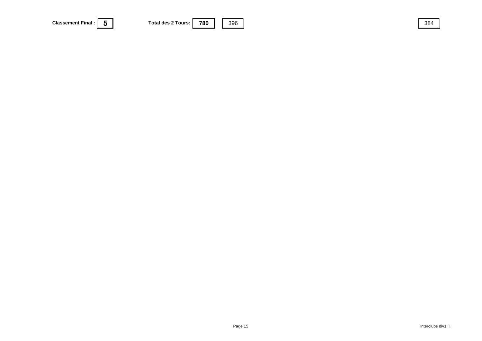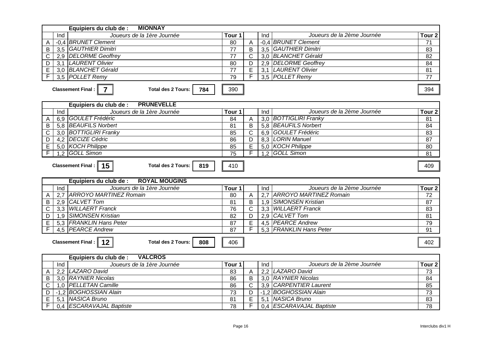| <b>MIONNAY</b><br>Equipiers du club de :                                                |                        |                       |                  |                                              |                                      |
|-----------------------------------------------------------------------------------------|------------------------|-----------------------|------------------|----------------------------------------------|--------------------------------------|
| Joueurs de la 1ère Journée<br>Ind                                                       | Tour <sub>1</sub>      |                       | Ind              | Joueurs de la 2ème Journée                   | Tour <sub>2</sub>                    |
| -0.4 BRUNET Clement<br>A                                                                | 80                     | A                     |                  | -0.4 BRUNET Clement                          | 71                                   |
| 3,5 GAUTHIER Dimitri<br>B                                                               | 77                     | B                     |                  | 3,5 GAUTHIER Dimitri                         | 83                                   |
| $\overline{\text{c}}$<br>2,9 DELORME Geoffrey                                           | 77                     | $\overline{\text{c}}$ |                  | 3,0 BLANCHET Gérald                          | $\overline{82}$                      |
| 3,1 LAURENT Olivier<br>D                                                                | 80                     | D                     |                  | 2,9 DELORME Geoffrey                         | 84                                   |
| 3.0 BLANCHET Gérald<br>E                                                                | $\overline{77}$        | E                     |                  | 3,1 LAURENT Olivier                          | 81                                   |
| 3.5 POLLET Remy                                                                         | 79                     |                       |                  | 3,5 POLLET Remy                              | 77                                   |
| Classement Final: $\parallel$<br>$\overline{7}$<br><b>Total des 2 Tours:</b><br>784     | 390                    |                       |                  |                                              | 394                                  |
| <b>PRUNEVELLE</b><br>Equipiers du club de :                                             |                        |                       |                  |                                              |                                      |
| Joueurs de la 1ère Journée<br>Ind                                                       | Tour <sub>1</sub>      |                       | Ind              | Joueurs de la 2ème Journée                   | Tour <sub>2</sub>                    |
| 6,9 GOULET Frédéric<br>A                                                                | 84                     | A                     |                  | 3,0 BOTTIGLIRI Franky                        | 81                                   |
| $\overline{B}$<br>5,8 BEAUFILS Norbert                                                  | $\overline{81}$        | $\overline{B}$        |                  | 5,8 BEAUFILS Norbert                         | 84                                   |
| <b>BOTTIGLIRI Franky</b><br>C<br>3,0                                                    | 85                     | $\mathsf{C}$          |                  | 6,9 GOULET Frédéric                          | 83                                   |
| 4,2 DECIZE Cédric<br>D                                                                  | 86                     | D                     |                  | 8,3 LORIN Manuel                             | $\overline{87}$                      |
| Ē<br>5,0 KOCH Philippe                                                                  | 85                     | Έ                     |                  | 5,0 KOCH Philippe                            | 80                                   |
| F<br>1.2 GOLL Simon                                                                     | $\overline{75}$        | F                     |                  | 1.2 GOLL Simon                               | 81                                   |
| Classement Final :   15  <br><b>Total des 2 Tours:</b><br>819                           | 410                    |                       |                  |                                              | 409                                  |
|                                                                                         |                        |                       |                  |                                              |                                      |
|                                                                                         |                        |                       |                  |                                              |                                      |
| <b>ROYAL MOUGINS</b><br>Equipiers du club de :                                          |                        |                       |                  |                                              |                                      |
| Joueurs de la 1ère Journée<br>Ind                                                       | Tour 1                 |                       | Ind              | Joueurs de la 2ème Journée                   | Tour <sub>2</sub>                    |
| <b>ARROYO MARTINEZ Romain</b><br>2,7<br>Α                                               | 80                     | $\overline{A}$        | 2.7              | <b>ARROYO MARTINEZ Romain</b>                | 72                                   |
| CALVET Tom<br>$\overline{B}$<br>2,9                                                     | 81                     | B                     |                  | 1,9 SIMONSEN Kristian                        | $\overline{87}$                      |
| <b>WILLAERT Franck</b><br>$\mathsf C$<br>3,3                                            | 76                     | $\overline{\text{c}}$ |                  | 3,3 WILLAERT Franck                          | 83                                   |
| 1,9 SIMONSEN Kristian<br>D                                                              | 82                     | D                     |                  | 2,9 CALVET Tom                               | 81                                   |
| 5.3 FRANKLIN Hans Peter<br>$\overline{E}$                                               | 87                     | $\overline{E}$        |                  | 4,5 PEARCE Andrew                            | 79                                   |
| F<br>4.5 PEARCE Andrew<br>Classement Final :   12  <br><b>Total des 2 Tours:</b><br>808 | $\overline{87}$<br>406 | F                     |                  | 5.3 FRANKLIN Hans Peter                      | 91<br>402                            |
| <b>VALCROS</b><br>Equipiers du club de :                                                |                        |                       |                  |                                              |                                      |
| Joueurs de la 1ère Journée<br>Ind                                                       | Tour <sub>1</sub>      |                       | Ind              | Joueurs de la 2ème Journée                   |                                      |
| LAZARO David<br>2,2<br>A                                                                | 83                     | A                     | $\overline{2.2}$ | LAZARO David                                 | 73                                   |
| 3,0 RAYNIER Nicolas<br>B                                                                | 86                     | B                     |                  | 3.0 RAYNIER Nicolas                          | 84                                   |
| 1,0 PELLETAN Camille<br>C                                                               | $\overline{86}$        | C                     |                  | 3,9 CARPENTIER Laurent                       | 85                                   |
| -1.2 BOGHOSSIAN Alain<br>D                                                              | $\overline{73}$        | D                     |                  | -1.2 BOGHOSSIAN Alain                        | Tour <sub>2</sub><br>$\overline{73}$ |
| 5,1 NASICA Bruno<br>E<br>0,4 ESCARAVAJAL Baptiste                                       | 81<br>78               | E<br>F                |                  | 5,1 NASICA Bruno<br>0,4 ESCARAVAJAL Baptiste | 83<br>78                             |